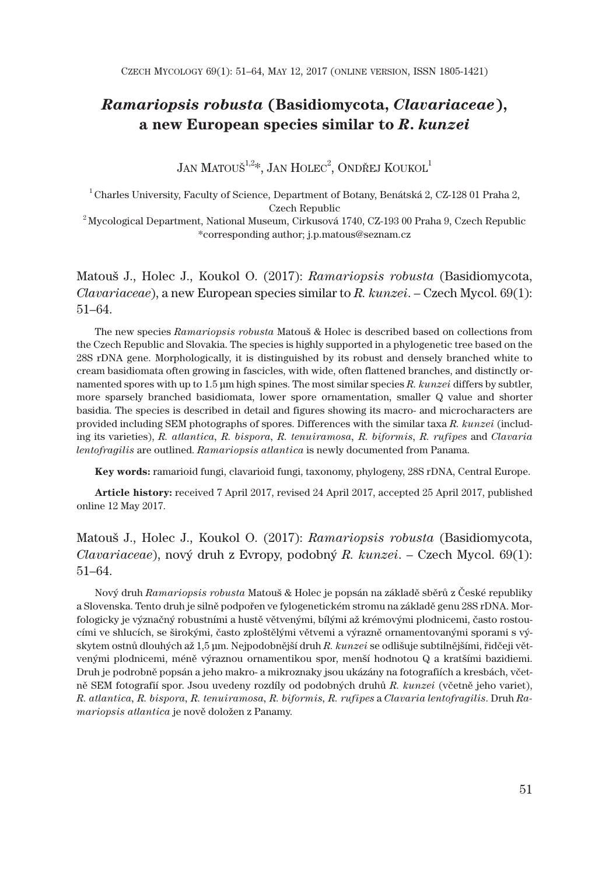# *Ramariopsis robusta* **(Basidiomycota,** *Clavariaceae***), a new European species similar to** *R***.** *kunzei*

JAN MATOUŠ $^{1,2}$ \*, JAN HOLEC $^2$ , ONDŘEJ KOUKOL $^1$ 

 $^1$  Charles University, Faculty of Science, Department of Botany, Benátská 2, CZ-128 01 Praha 2, Czech Republic

 $^2$ Mycological Department, National Museum, Cirkusová 1740, CZ-193 00 Praha 9, Czech Republic \*corresponding author; j.p.matous@seznam.cz

Matouš J., Holec J., Koukol O. (2017): *Ramariopsis robusta* (Basidiomycota, *Clavariaceae*), a new European species similar to *R. kunzei*. – Czech Mycol. 69(1): 51–64.

The new species *Ramariopsis robusta* Matouš & Holec is described based on collections from the Czech Republic and Slovakia. The species is highly supported in a phylogenetic tree based on the 28S rDNA gene. Morphologically, it is distinguished by its robust and densely branched white to cream basidiomata often growing in fascicles, with wide, often flattened branches, and distinctly ornamented spores with up to 1.5 μm high spines. The most similar species *R. kunzei* differs by subtler, more sparsely branched basidiomata, lower spore ornamentation, smaller Q value and shorter basidia. The species is described in detail and figures showing its macro- and microcharacters are provided including SEM photographs of spores. Differences with the similar taxa *R. kunzei* (including its varieties), *R. atlantica, R. bispora, R. tenuiramosa, R. biformis, R. rufipes* and *Clavaria lentofragilis* are outlined. *Ramariopsis atlantica* is newly documented from Panama.

**Key words:** ramarioid fungi, clavarioid fungi, taxonomy, phylogeny, 28S rDNA, Central Europe.

**Article history:** received 7 April 2017, revised 24 April 2017, accepted 25 April 2017, published online 12 May 2017.

# Matouš J., Holec J., Koukol O. (2017): *Ramariopsis robusta* (Basidiomycota, *Clavariaceae*), nový druh z Evropy, podobný *R. kunzei*. – Czech Mycol. 69(1): 51–64.

Nový druh *Ramariopsis robusta* Matouš & Holec je popsán na základě sběrů z České republiky a Slovenska. Tento druh je silně podpořen ve fylogenetickém stromu na základě genu 28S rDNA. Morfologicky je význačný robustními a hustě větvenými, bílými až krémovými plodnicemi, často rostoucími ve shlucích, se širokými, často zploštělými větvemi a výrazně ornamentovanými sporami s výskytem ostnů dlouhých až 1,5 μm. Nejpodobnější druh *R. kunzei* se odlišuje subtilnějšími, řidčeji větvenými plodnicemi, méně výraznou ornamentikou spor, menší hodnotou Q a kratšími bazidiemi. Druh je podrobně popsán a jeho makro- a mikroznaky jsou ukázány na fotografiích a kresbách, včetně SEM fotografií spor. Jsou uvedeny rozdíly od podobných druhů *R. kunzei* (včetně jeho variet), *R. atlantica, R. bispora, R. tenuiramosa, R. biformis, R. rufipes* a *Clavaria lentofragilis*. Druh *Ramariopsis atlantica* je nově doložen z Panamy.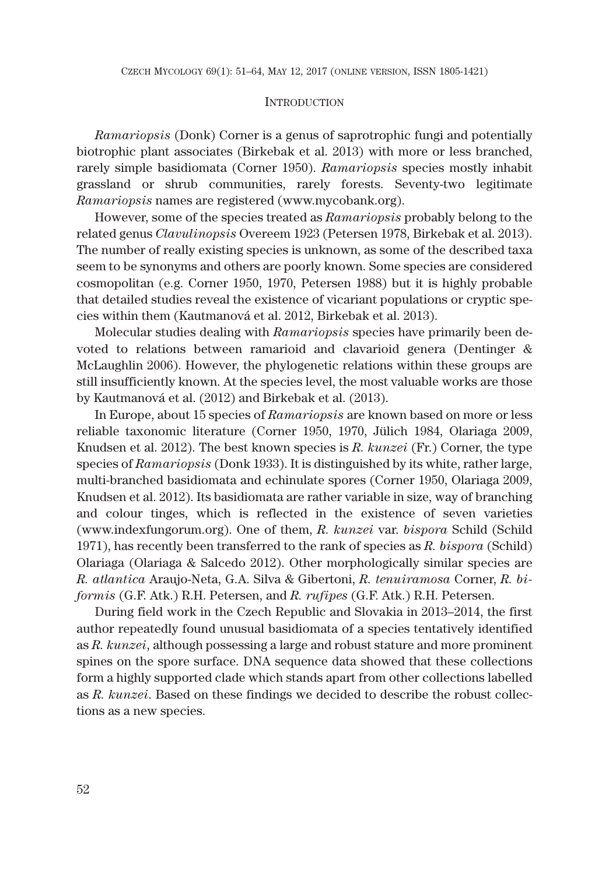### **INTRODUCTION**

*Ramariopsis* (Donk) Corner is a genus of saprotrophic fungi and potentially biotrophic plant associates (Birkebak et al. 2013) with more or less branched, rarely simple basidiomata (Corner 1950). *Ramariopsis* species mostly inhabit grassland or shrub communities, rarely forests. Seventy-two legitimate *Ramariopsis* names are registered (www.mycobank.org).

However, some of the species treated as *Ramariopsis* probably belong to the related genus *Clavulinopsis* Overeem 1923 (Petersen 1978, Birkebak et al. 2013). The number of really existing species is unknown, as some of the described taxa seem to be synonyms and others are poorly known. Some species are considered cosmopolitan (e.g. Corner 1950, 1970, Petersen 1988) but it is highly probable that detailed studies reveal the existence of vicariant populations or cryptic species within them (Kautmanová et al. 2012, Birkebak et al. 2013).

Molecular studies dealing with *Ramariopsis* species have primarily been devoted to relations between ramarioid and clavarioid genera (Dentinger & McLaughlin 2006). However, the phylogenetic relations within these groups are still insufficiently known. At the species level, the most valuable works are those by Kautmanová et al. (2012) and Birkebak et al. (2013).

In Europe, about 15 species of *Ramariopsis* are known based on more or less reliable taxonomic literature (Corner 1950, 1970, Jülich 1984, Olariaga 2009, Knudsen et al. 2012). The best known species is *R. kunzei* (Fr.) Corner, the type species of *Ramariopsis* (Donk 1933). It is distinguished by its white, rather large, multi-branched basidiomata and echinulate spores (Corner 1950, Olariaga 2009, Knudsen et al. 2012). Its basidiomata are rather variable in size, way of branching and colour tinges, which is reflected in the existence of seven varieties (www.indexfungorum.org). One of them, *R. kunzei* var. *bispora* Schild (Schild 1971), has recently been transferred to the rank of species as *R. bispora* (Schild) Olariaga (Olariaga & Salcedo 2012). Other morphologically similar species are *R. atlantica* Araujo-Neta, G.A. Silva & Gibertoni, *R. tenuiramosa* Corner, *R. biformis* (G.F. Atk.) R.H. Petersen, and *R. rufipes* (G.F. Atk.) R.H. Petersen.

During field work in the Czech Republic and Slovakia in 2013–2014, the first author repeatedly found unusual basidiomata of a species tentatively identified as *R. kunzei*, although possessing a large and robust stature and more prominent spines on the spore surface. DNA sequence data showed that these collections form a highly supported clade which stands apart from other collections labelled as *R. kunzei*. Based on these findings we decided to describe the robust collections as a new species.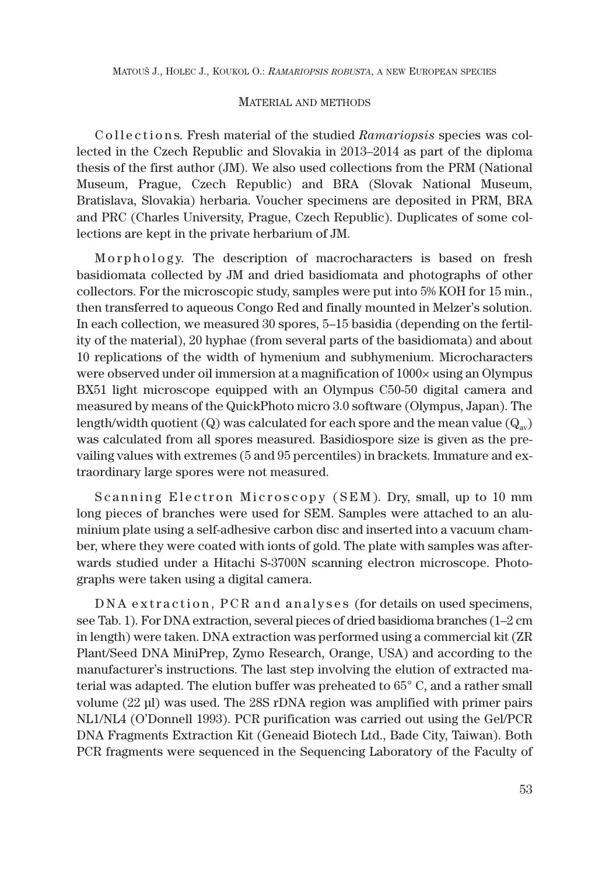MATOUŠ J., HOLEC J., KOUKOL O.: *RAMARIOPSIS ROBUSTA*, A NEW EUROPEAN SPECIES

## MATERIAL AND METHODS

C ollections. Fresh material of the studied *Ramariopsis* species was collected in the Czech Republic and Slovakia in 2013–2014 as part of the diploma thesis of the first author (JM). We also used collections from the PRM (National Museum, Prague, Czech Republic) and BRA (Slovak National Museum, Bratislava, Slovakia) herbaria. Voucher specimens are deposited in PRM, BRA and PRC (Charles University, Prague, Czech Republic). Duplicates of some collections are kept in the private herbarium of JM.

Morphology. The description of macrocharacters is based on fresh basidiomata collected by JM and dried basidiomata and photographs of other collectors. For the microscopic study, samples were put into 5% KOH for 15 min., then transferred to aqueous Congo Red and finally mounted in Melzer's solution. In each collection, we measured 30 spores, 5–15 basidia (depending on the fertility of the material), 20 hyphae (from several parts of the basidiomata) and about 10 replications of the width of hymenium and subhymenium. Microcharacters were observed under oil immersion at a magnification of  $1000\times$  using an Olympus BX51 light microscope equipped with an Olympus C50-50 digital camera and measured by means of the QuickPhoto micro 3.0 software (Olympus, Japan). The length/width quotient (Q) was calculated for each spore and the mean value  $(Q_{av})$ was calculated from all spores measured. Basidiospore size is given as the prevailing values with extremes (5 and 95 percentiles) in brackets. Immature and extraordinary large spores were not measured.

Scanning Electron Microscopy ( $SEM$ ). Dry, small, up to 10 mm long pieces of branches were used for SEM. Samples were attached to an aluminium plate using a self-adhesive carbon disc and inserted into a vacuum chamber, where they were coated with ionts of gold. The plate with samples was afterwards studied under a Hitachi S-3700N scanning electron microscope. Photographs were taken using a digital camera.

DNA extraction, PCR and analyses (for details on used specimens, see Tab. 1). For DNA extraction, several pieces of dried basidioma branches (1–2 cm in length) were taken. DNA extraction was performed using a commercial kit (ZR Plant/Seed DNA MiniPrep, Zymo Research, Orange, USA) and according to the manufacturer's instructions. The last step involving the elution of extracted material was adapted. The elution buffer was preheated to 65° C, and a rather small volume (22 μl) was used. The 28S rDNA region was amplified with primer pairs NL1/NL4 (O'Donnell 1993). PCR purification was carried out using the Gel/PCR DNA Fragments Extraction Kit (Geneaid Biotech Ltd., Bade City, Taiwan). Both PCR fragments were sequenced in the Sequencing Laboratory of the Faculty of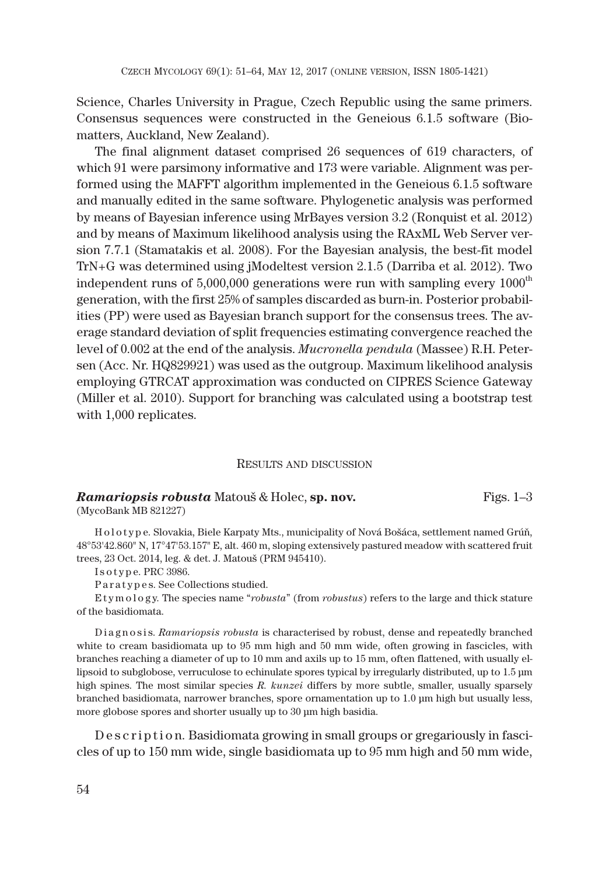Science, Charles University in Prague, Czech Republic using the same primers. Consensus sequences were constructed in the Geneious 6.1.5 software (Biomatters, Auckland, New Zealand).

The final alignment dataset comprised 26 sequences of 619 characters, of which 91 were parsimony informative and 173 were variable. Alignment was performed using the MAFFT algorithm implemented in the Geneious 6.1.5 software and manually edited in the same software. Phylogenetic analysis was performed by means of Bayesian inference using MrBayes version 3.2 (Ronquist et al. 2012) and by means of Maximum likelihood analysis using the RAxML Web Server version 7.7.1 (Stamatakis et al. 2008). For the Bayesian analysis, the best-fit model TrN+G was determined using jModeltest version 2.1.5 (Darriba et al. 2012). Two independent runs of  $5,000,000$  generations were run with sampling every  $1000<sup>th</sup>$ generation, with the first 25% of samples discarded as burn-in. Posterior probabilities (PP) were used as Bayesian branch support for the consensus trees. The average standard deviation of split frequencies estimating convergence reached the level of 0.002 at the end of the analysis. *Mucronella pendula* (Massee) R.H. Petersen (Acc. Nr. HQ829921) was used as the outgroup. Maximum likelihood analysis employing GTRCAT approximation was conducted on CIPRES Science Gateway (Miller et al. 2010). Support for branching was calculated using a bootstrap test with 1,000 replicates.

# RESULTS AND DISCUSSION

# **Ramariopsis robusta** Matouš & Holec, **sp. nov.** Figs. 1–3

(MycoBank MB 821227)

H o l o t y p e. Slovakia, Biele Karpaty Mts., municipality of Nová Bošáca, settlement named Grúň, 48°53'42.860" N, 17°47'53.157" E, alt. 460 m, sloping extensively pastured meadow with scattered fruit trees, 23 Oct. 2014, leg. & det. J. Matouš (PRM 945410).

Is o type. PRC 3986.

Paratypes. See Collections studied.

E t y m o l o g y. The species name "*robusta*" (from *robustus*) refers to the large and thick stature of the basidiomata.

Diagnosis. *Ramariopsis robusta* is characterised by robust, dense and repeatedly branched white to cream basidiomata up to 95 mm high and 50 mm wide, often growing in fascicles, with branches reaching a diameter of up to 10 mm and axils up to 15 mm, often flattened, with usually ellipsoid to subglobose, verruculose to echinulate spores typical by irregularly distributed, up to 1.5 μm high spines. The most similar species *R. kunzei* differs by more subtle, smaller, usually sparsely branched basidiomata, narrower branches, spore ornamentation up to 1.0 μm high but usually less, more globose spores and shorter usually up to 30 μm high basidia.

D e s c r i p t i o n. Basidiomata growing in small groups or gregariously in fascicles of up to 150 mm wide, single basidiomata up to 95 mm high and 50 mm wide,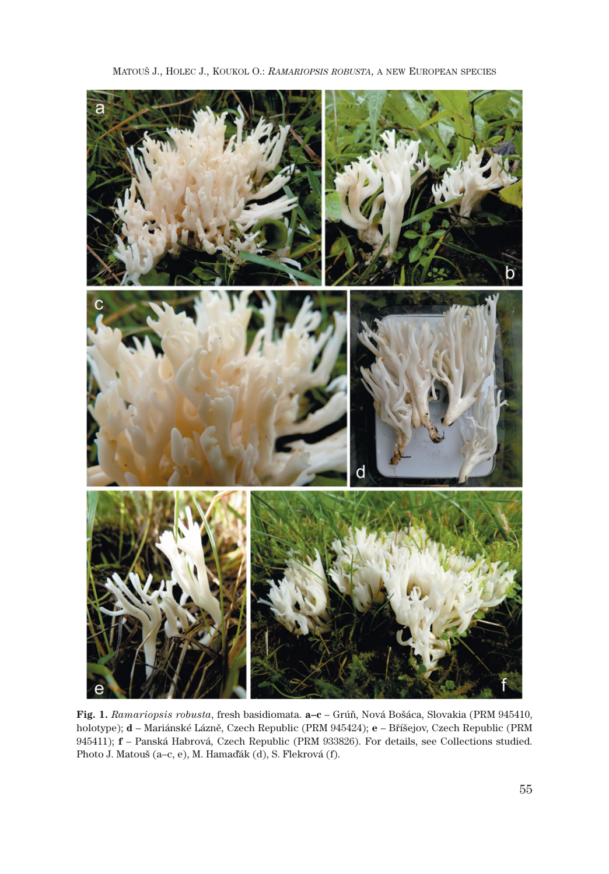

MATOUŠ J., HOLEC J., KOUKOL O.: *RAMARIOPSIS ROBUSTA*, A NEW EUROPEAN SPECIES

**Fig. 1.** *Ramariopsis robusta*, fresh basidiomata. **a–c** – Grúň, Nová Bošáca, Slovakia (PRM 945410, holotype); **d** – Mariánské Lázně, Czech Republic (PRM 945424); **e** – Bříšejov, Czech Republic (PRM 945411); **f** – Panská Habrová, Czech Republic (PRM 933826). For details, see Collections studied. Photo J. Matouš (a–c, e), M. Hamaďák (d), S. Flekrová (f).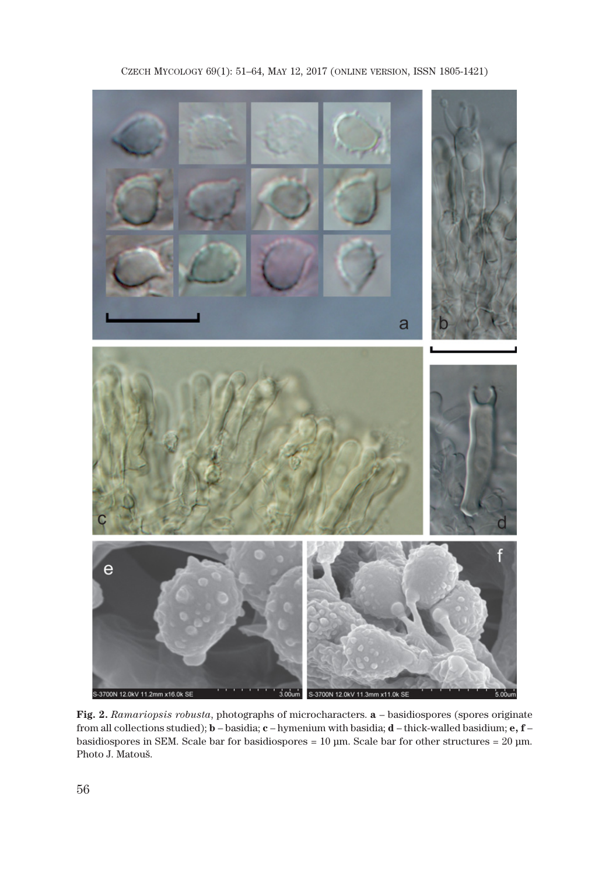



**Fig. 2.** *Ramariopsis robusta*, photographs of microcharacters. **a** – basidiospores (spores originate from all collections studied); **b** – basidia; **c** – hymenium with basidia; **d** – thick-walled basidium; **e, f** – basidiospores in SEM. Scale bar for basidiospores = 10 μm. Scale bar for other structures = 20 μm. Photo J. Matouš.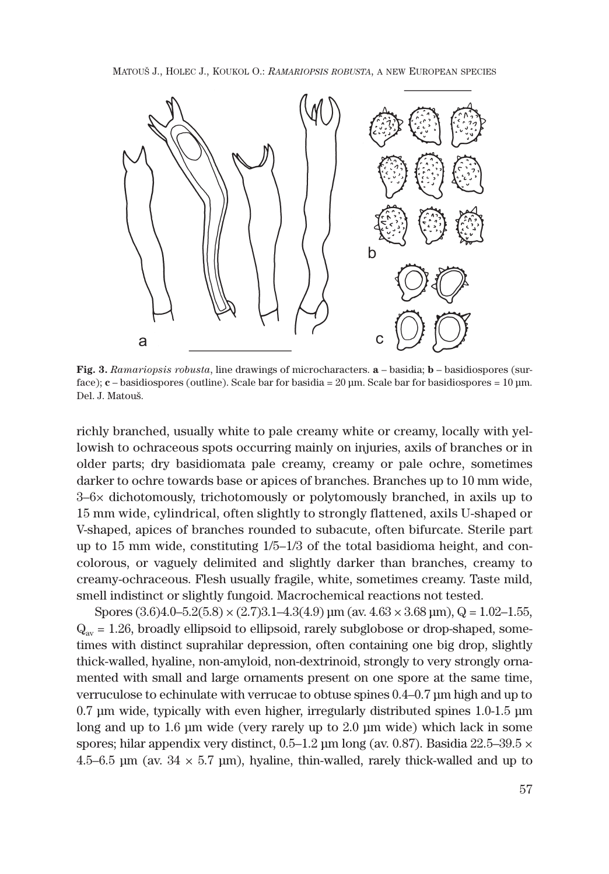MATOUŠ J., HOLEC J., KOUKOL O.: *RAMARIOPSIS ROBUSTA*, A NEW EUROPEAN SPECIES



**Fig. 3.** *Ramariopsis robusta*, line drawings of microcharacters. **a** – basidia; **b** – basidiospores (surface); **c** – basidiospores (outline). Scale bar for basidia = 20 μm. Scale bar for basidiospores = 10 μm. Del. J. Matouš.

richly branched, usually white to pale creamy white or creamy, locally with yellowish to ochraceous spots occurring mainly on injuries, axils of branches or in older parts; dry basidiomata pale creamy, creamy or pale ochre, sometimes darker to ochre towards base or apices of branches. Branches up to 10 mm wide,  $3-6\times$  dichotomously, trichotomously or polytomously branched, in axils up to 15 mm wide, cylindrical, often slightly to strongly flattened, axils U-shaped or V-shaped, apices of branches rounded to subacute, often bifurcate. Sterile part up to 15 mm wide, constituting  $1/5-1/3$  of the total basidioma height, and concolorous, or vaguely delimited and slightly darker than branches, creamy to creamy-ochraceous. Flesh usually fragile, white, sometimes creamy. Taste mild, smell indistinct or slightly fungoid. Macrochemical reactions not tested.

Spores  $(3.6)4.0 - 5.2(5.8) \times (2.7)3.1 - 4.3(4.9) \,\mathrm{\mu m}$  (av.  $4.63 \times 3.68 \,\mathrm{\mu m}$ ), Q = 1.02-1.55,  $Q_{av} = 1.26$ , broadly ellipsoid to ellipsoid, rarely subglobose or drop-shaped, sometimes with distinct suprahilar depression, often containing one big drop, slightly thick-walled, hyaline, non-amyloid, non-dextrinoid, strongly to very strongly ornamented with small and large ornaments present on one spore at the same time, verruculose to echinulate with verrucae to obtuse spines 0.4–0.7 μm high and up to 0.7 μm wide, typically with even higher, irregularly distributed spines 1.0-1.5 μm long and up to 1.6 μm wide (very rarely up to 2.0 μm wide) which lack in some spores; hilar appendix very distinct,  $0.5-1.2$  μm long (av. 0.87). Basidia  $22.5-39.5 \times$ 4.5–6.5 μm (av.  $34 \times 5.7$  μm), hyaline, thin-walled, rarely thick-walled and up to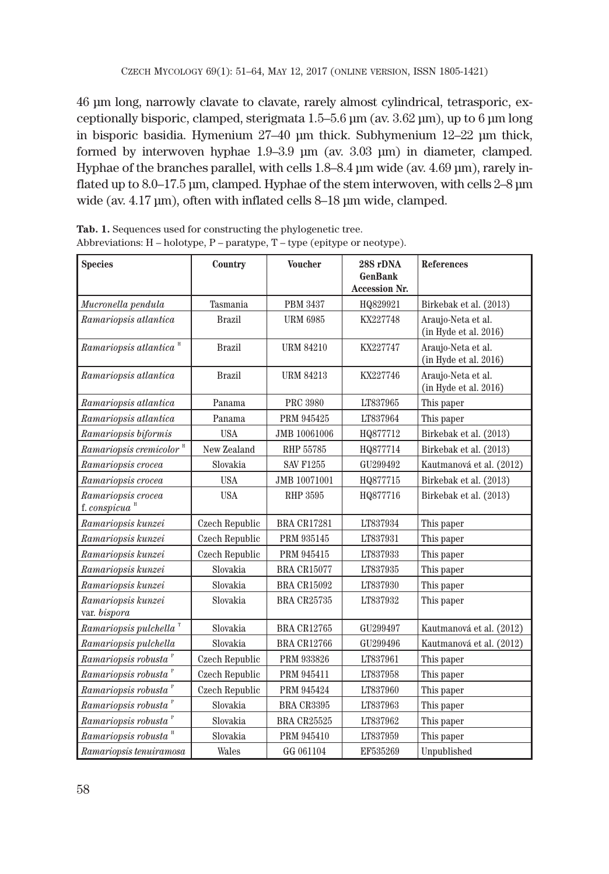46 μm long, narrowly clavate to clavate, rarely almost cylindrical, tetrasporic, exceptionally bisporic, clamped, sterigmata 1.5–5.6 μm (av. 3.62 μm), up to 6 μm long in bisporic basidia. Hymenium 27–40 μm thick. Subhymenium 12–22 μm thick, formed by interwoven hyphae 1.9–3.9 μm (av. 3.03 μm) in diameter, clamped. Hyphae of the branches parallel, with cells 1.8–8.4 μm wide (av. 4.69 μm), rarely inflated up to 8.0–17.5 μm, clamped. Hyphae of the stem interwoven, with cells 2–8 μm wide (av. 4.17 μm), often with inflated cells 8–18 μm wide, clamped.

| <b>Species</b>                                              | Country               | <b>Voucher</b>     | 28S rDNA<br><b>GenBank</b><br><b>Accession Nr.</b> | <b>References</b>                               |
|-------------------------------------------------------------|-----------------------|--------------------|----------------------------------------------------|-------------------------------------------------|
| Mucronella pendula                                          | Tasmania              | <b>PBM 3437</b>    | HQ829921                                           | Birkebak et al. (2013)                          |
| Ramariopsis atlantica                                       | <b>Brazil</b>         | <b>URM 6985</b>    | KX227748                                           | Araujo-Neta et al.<br>$(in$ Hyde et al. $2016)$ |
| $\emph{Ramariopsis atlantica}$ "                            | <b>Brazil</b>         | <b>URM 84210</b>   | KX227747                                           | Araujo-Neta et al.<br>(in Hyde et al. 2016)     |
| Ramariopsis atlantica                                       | Brazil                | <b>URM 84213</b>   | KX227746                                           | Araujo-Neta et al.<br>(in Hyde et al. 2016)     |
| Ramariopsis atlantica                                       | Panama                | <b>PRC 3980</b>    | LT837965                                           | This paper                                      |
| Ramariopsis atlantica                                       | Panama                | PRM 945425         | LT837964                                           | This paper                                      |
| Ramariopsis biformis                                        | <b>USA</b>            | JMB 10061006       | HQ877712                                           | Birkebak et al. (2013)                          |
| $Ramariopsis$ cremicolor $H$                                | New Zealand           | <b>RHP 55785</b>   | HQ877714                                           | Birkebak et al. (2013)                          |
| Ramariopsis crocea                                          | Slovakia              | <b>SAV F1255</b>   | GU299492                                           | Kautmanová et al. (2012)                        |
| Ramariopsis crocea                                          | <b>USA</b>            | JMB 10071001       | HQ877715                                           | Birkebak et al. (2013)                          |
| Ramariopsis crocea<br>f. conspicua $\mathrm{^{\mathrm{H}}}$ | <b>USA</b>            | <b>RHP 3595</b>    | HQ877716                                           | Birkebak et al. (2013)                          |
| Ramariopsis kunzei                                          | Czech Republic        | <b>BRA CR17281</b> | LT837934                                           | This paper                                      |
| Ramariopsis kunzei                                          | Czech Republic        | PRM 935145         | LT837931                                           | This paper                                      |
| Ramariopsis kunzei                                          | <b>Czech Republic</b> | PRM 945415         | LT837933                                           | This paper                                      |
| Ramariopsis kunzei                                          | Slovakia              | <b>BRA CR15077</b> | LT837935                                           | This paper                                      |
| Ramariopsis kunzei                                          | Slovakia              | <b>BRA CR15092</b> | LT837930                                           | This paper                                      |
| Ramariopsis kunzei<br>var. bispora                          | Slovakia              | <b>BRA CR25735</b> | LT837932                                           | This paper                                      |
| Ramariopsis pulchella <sup>T</sup>                          | Slovakia              | <b>BRA CR12765</b> | GU299497                                           | Kautmanová et al. (2012)                        |
| Ramariopsis pulchella                                       | Slovakia              | <b>BRA CR12766</b> | GU299496                                           | Kautmanová et al. (2012)                        |
| Ramariopsis robusta <sup>P</sup>                            | Czech Republic        | PRM 933826         | LT837961                                           | This paper                                      |
| Ramariopsis robusta <sup>p</sup>                            | Czech Republic        | PRM 945411         | LT837958                                           | This paper                                      |
| Ramariopsis robusta <sup>P</sup>                            | <b>Czech Republic</b> | PRM 945424         | LT837960                                           | This paper                                      |
| Ramariopsis robusta <sup>P</sup>                            | Slovakia              | BRA CR3395         | LT837963                                           | This paper                                      |
| Ramariopsis robusta <sup>P</sup>                            | Slovakia              | <b>BRA CR25525</b> | LT837962                                           | This paper                                      |
| Ramariopsis robusta "                                       | Slovakia              | PRM 945410         | LT837959                                           | This paper                                      |
| Ramariopsis tenuiramosa                                     | Wales                 | GG 061104          | EF535269                                           | Unpublished                                     |

**Tab. 1.** Sequences used for constructing the phylogenetic tree. Abbreviations: H – holotype, P – paratype, T – type (epitype or neotype).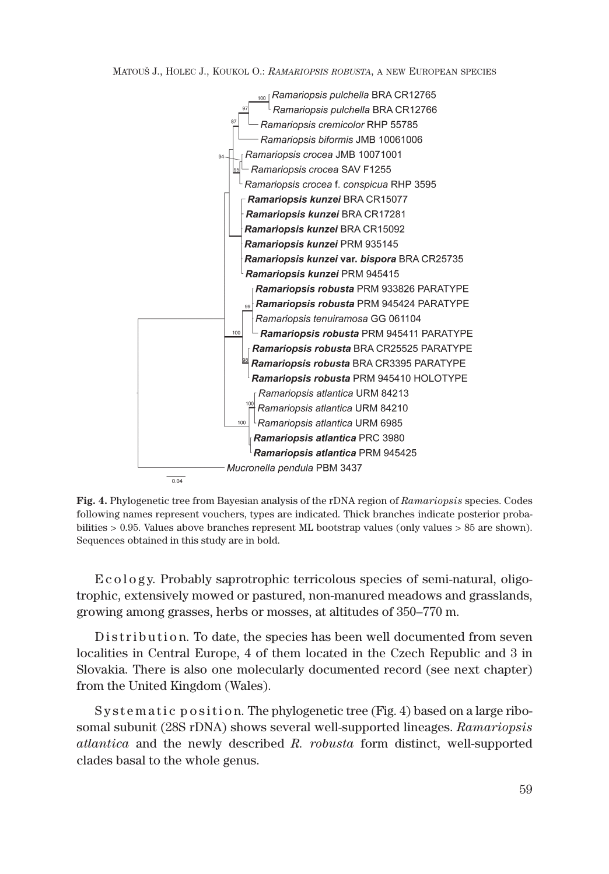MATOUŠ J., HOLEC J., KOUKOL O.: *RAMARIOPSIS ROBUSTA*, A NEW EUROPEAN SPECIES



**Fig. 4.** Phylogenetic tree from Bayesian analysis of the rDNA region of *Ramariopsis* species. Codes following names represent vouchers, types are indicated. Thick branches indicate posterior probabilities > 0.95. Values above branches represent ML bootstrap values (only values > 85 are shown). Sequences obtained in this study are in bold.

E c o l o g y. Probably saprotrophic terricolous species of semi-natural, o ligotrophic, extensively mowed or pastured, non-manured meadows and grasslands, growing among grasses, herbs or mosses, at altitudes of 350–770 m.

D is tribution. To date, the species has been well documented from seven localities in Central Europe, 4 of them located in the Czech Republic and 3 in Slovakia. There is also one molecularly documented record (see next chapter) from the United Kingdom (Wales).

Systematic position. The phylogenetic tree (Fig. 4) based on a large ribosomal subunit (28S rDNA) shows several well-supported lineages. *Ramariopsis atlantica* and the newly described *R. robusta* form distinct, well-supported clades basal to the whole genus.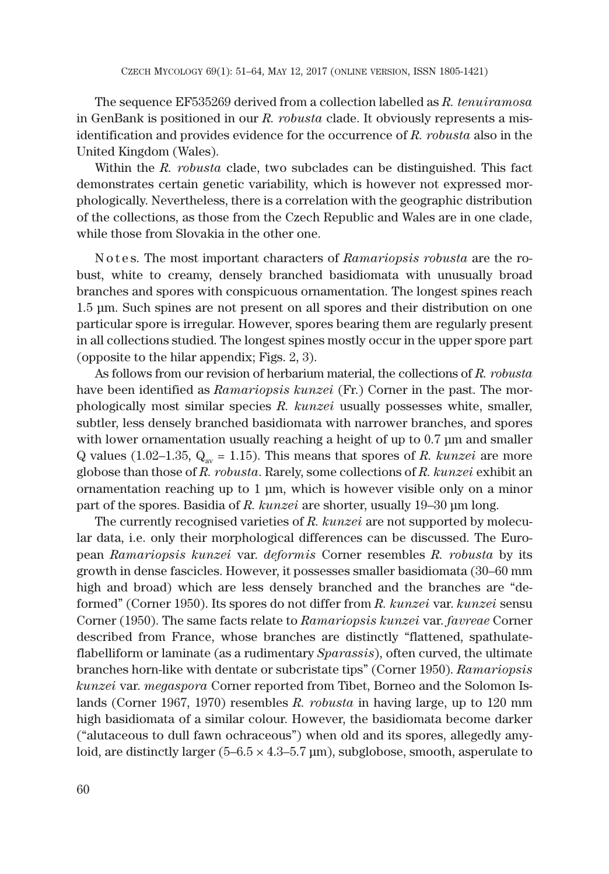The sequence EF535269 derived from a collection labelled as *R. tenuiramosa* in GenBank is positioned in our *R. robusta* clade. It obviously represents a misidentification and provides evidence for the occurrence of *R. robusta* also in the United Kingdom (Wales).

Within the *R. robusta* clade, two subclades can be distinguished. This fact demonstrates certain genetic variability, which is however not expressed morphologically. Nevertheless, there is a correlation with the geographic distribution of the collections, as those from the Czech Republic and Wales are in one clade, while those from Slovakia in the other one.

N o t e s. The most important characters of *Ramariopsis robusta* are the robust, white to creamy, densely branched basidiomata with unusually broad branches and spores with conspicuous ornamentation. The longest spines reach 1.5 μm. Such spines are not present on all spores and their distribution on one particular spore is irregular. However, spores bearing them are regularly present in all collections studied. The longest spines mostly occur in the upper spore part (opposite to the hilar appendix; Figs. 2, 3).

As follows from our revision of herbarium material, the collections of *R. robusta* have been identified as *Ramariopsis kunzei* (Fr.) Corner in the past. The morphologically most similar species *R. kunzei* usually possesses white, smaller, subtler, less densely branched basidiomata with narrower branches, and spores with lower ornamentation usually reaching a height of up to 0.7 μm and smaller Q values (1.02–1.35,  $Q_{av} = 1.15$ ). This means that spores of *R. kunzei* are more globose than those of *R. robusta*. Rarely, some collections of *R. kunzei* exhibit an ornamentation reaching up to 1 μm, which is however visible only on a minor part of the spores. Basidia of *R. kunzei* are shorter, usually 19–30 μm long.

The currently recognised varieties of *R. kunzei* are not supported by molecular data, i.e. only their morphological differences can be discussed. The European *Ramariopsis kunzei* var. *deformis* Corner resembles *R. robusta* by its growth in dense fascicles. However, it possesses smaller basidiomata (30–60 mm high and broad) which are less densely branched and the branches are "deformed" (Corner 1950). Its spores do not differ from *R. kunzei* var. *kunzei* sensu Corner (1950). The same facts relate to *Ramariopsis kunzei* var. *favreae* Corner described from France, whose branches are distinctly "flattened, spathulateflabelliform or laminate (as a rudimentary *Sparassis*), often curved, the ultimate branches horn-like with dentate or subcristate tips" (Corner 1950). *Ramariopsis kunzei* var. *megaspora* Corner reported from Tibet, Borneo and the Solomon Islands (Corner 1967, 1970) resembles *R. robusta* in having large, up to 120 mm high basidiomata of a similar colour. However, the basidiomata become darker ("alutaceous to dull fawn ochraceous") when old and its spores, allegedly amyloid, are distinctly larger  $(5-6.5 \times 4.3-5.7 \,\mathrm{\mu m})$ , subglobose, smooth, asperulate to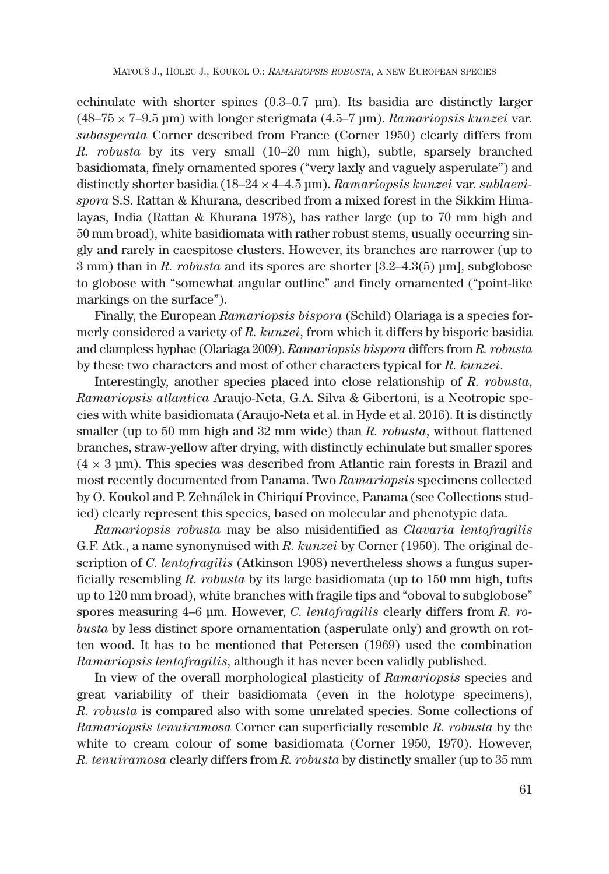echinulate with shorter spines (0.3–0.7 μm). Its basidia are distinctly larger (48–75 × 7–9.5 μm) with longer sterigmata (4.5–7 μm). *Ramariopsis kunzei* var. *subasperata* Corner described from France (Corner 1950) clearly differs from *R. robusta* by its very small (10–20 mm high), subtle, sparsely branched basidiomata, finely ornamented spores ("very laxly and vaguely asperulate") and distinctly shorter basidia (18–24 × 4–4.5 μm). *Ramariopsis kunzei* var. *sublaevispora* S.S. Rattan & Khurana, described from a mixed forest in the Sikkim Himalayas, India (Rattan & Khurana 1978), has rather large (up to 70 mm high and 50 mm broad), white basidiomata with rather robust stems, usually occurring singly and rarely in caespitose clusters. However, its branches are narrower (up to 3 mm) than in *R. robusta* and its spores are shorter [3.2–4.3(5) μm], subglobose to globose with "somewhat angular outline" and finely ornamented ("point-like markings on the surface").

Finally, the European *Ramariopsis bispora* (Schild) Olariaga is a species formerly considered a variety of *R. kunzei*, from which it differs by bisporic basidia and clampless hyphae (Olariaga 2009). *Ramariopsis bispora* differs from *R. robusta* by these two characters and most of other characters typical for *R. kunzei*.

Interestingly, another species placed into close relationship of *R. robusta*, *Ramariopsis atlantica* Araujo-Neta, G.A. Silva & Gibertoni, is a Neotropic species with white basidiomata (Araujo-Neta et al. in Hyde et al. 2016). It is distinctly smaller (up to 50 mm high and 32 mm wide) than *R. robusta*, without flattened branches, straw-yellow after drying, with distinctly echinulate but smaller spores  $(4 \times 3 \,\mathrm{\mu m})$ . This species was described from Atlantic rain forests in Brazil and most recently documented from Panama. Two *Ramariopsis* specimens collected by O. Koukol and P. Zehnálek in Chiriquí Province, Panama (see Collections studied) clearly represent this species, based on molecular and phenotypic data.

*Ramariopsis robusta* may be also misidentified as *Clavaria lentofragilis* G.F. Atk., a name synonymised with *R. kunzei* by Corner (1950). The original description of *C. lentofragilis* (Atkinson 1908) nevertheless shows a fungus superficially resembling *R. robusta* by its large basidiomata (up to 150 mm high, tufts up to 120 mm broad), white branches with fragile tips and "oboval to subglobose" spores measuring 4–6 μm. However, *C. lentofragilis* clearly differs from *R. robusta* by less distinct spore ornamentation (asperulate only) and growth on rotten wood. It has to be mentioned that Petersen (1969) used the combination *Ramariopsis lentofragilis*, although it has never been validly published.

In view of the overall morphological plasticity of *Ramariopsis* species and great variability of their basidiomata (even in the holotype specimens), *R. robusta* is compared also with some unrelated species*.* Some collections of *Ramariopsis tenuiramosa* Corner can superficially resemble *R. robusta* by the white to cream colour of some basidiomata (Corner 1950, 1970). However, *R. tenuiramosa* clearly differs from *R. robusta* by distinctly smaller (up to 35 mm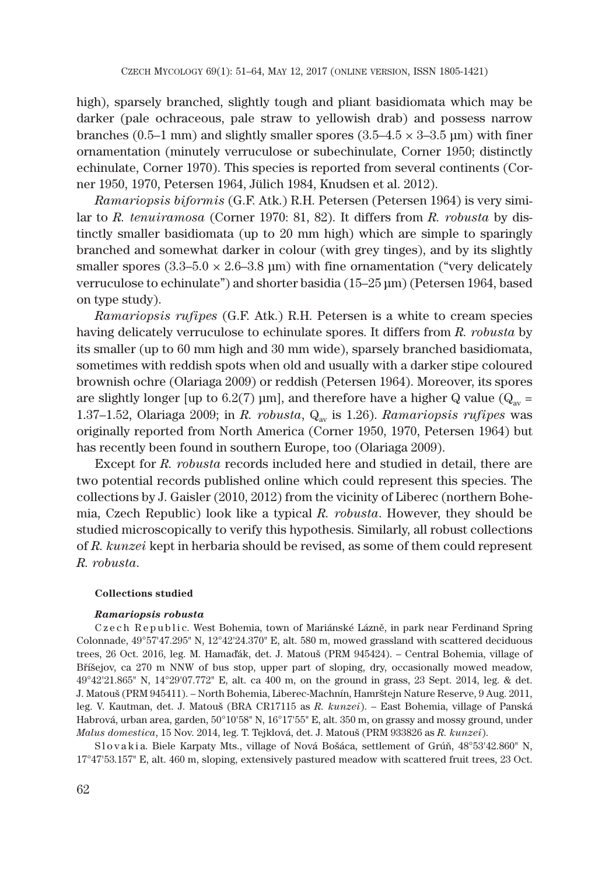high), sparsely branched, slightly tough and pliant basidiomata which may be darker (pale ochraceous, pale straw to yellowish drab) and possess narrow branches (0.5–1 mm) and slightly smaller spores ( $3.5-4.5 \times 3-3.5$  µm) with finer ornamentation (minutely verruculose or subechinulate, Corner 1950; distinctly echinulate, Corner 1970). This species is reported from several continents (Corner 1950, 1970, Petersen 1964, Jülich 1984, Knudsen et al. 2012).

*Ramariopsis biformis* (G.F. Atk.) R.H. Petersen (Petersen 1964) is very similar to *R. tenuiramosa* (Corner 1970: 81, 82). It differs from *R. robusta* by distinctly smaller basidiomata (up to 20 mm high) which are simple to sparingly branched and somewhat darker in colour (with grey tinges), and by its slightly smaller spores ( $3.3-5.0 \times 2.6-3.8$  µm) with fine ornamentation ("very delicately verruculose to echinulate") and shorter basidia (15–25 μm) (Petersen 1964, based on type study).

*Ramariopsis rufipes* (G.F. Atk.) R.H. Petersen is a white to cream species having delicately verruculose to echinulate spores. It differs from *R. robusta* by its smaller (up to 60 mm high and 30 mm wide), sparsely branched basidiomata, sometimes with reddish spots when old and usually with a darker stipe coloured brownish ochre (Olariaga 2009) or reddish (Petersen 1964). Moreover, its spores are slightly longer [up to 6.2(7) μm], and therefore have a higher Q value ( $Q_{av}$  = 1.37–1.52, Olariaga 2009; in *R. robusta*, Q<sub>av</sub> is 1.26). *Ramariopsis rufipes* was originally reported from North America (Corner 1950, 1970, Petersen 1964) but has recently been found in southern Europe, too (Olariaga 2009).

Except for *R. robusta* records included here and studied in detail, there are two potential records published online which could represent this species. The collections by J. Gaisler (2010, 2012) from the vicinity of Liberec (northern Bohemia, Czech Republic) look like a typical *R. robusta*. However, they should be studied microscopically to verify this hypothesis. Similarly, all robust collections of *R. kunzei* kept in herbaria should be revised, as some of them could represent *R. robusta*.

#### **Collections studied**

#### *Ramariopsis robusta*

Czech Republic. West Bohemia, town of Mariánské Lázně, in park near Ferdinand Spring Colonnade, 49°57'47.295" N, 12°42'24.370" E, alt. 580 m, mowed grassland with scattered deciduous trees, 26 Oct. 2016, leg. M. Hamaďák, det. J. Matouš (PRM 945424). – Central Bohemia, village of Bříšejov, ca 270 m NNW of bus stop, upper part of sloping, dry, occasionally mowed meadow, 49°42'21.865" N, 14°29'07.772" E, alt. ca 400 m, on the ground in grass, 23 Sept. 2014, leg. & det. J. Matouš (PRM 945411). – North Bohemia, Liberec-Machnín, Hamrštejn Nature Reserve, 9 Aug. 2011, leg. V. Kautman, det. J. Matouš (BRA CR17115 as *R. kunzei*). – East Bohemia, village of Panská Habrová, urban area, garden, 50°10'58" N, 16°17'55" E, alt. 350 m, on grassy and mossy ground, under *Malus domestica*, 15 Nov. 2014, leg. T. Tejklová, det. J. Matouš (PRM 933826 as *R. kunzei*).

Slovakia. Biele Karpaty Mts., village of Nová Bošáca, settlement of Grúň, 48°53'42.860" N, 17°47'53.157" E, alt. 460 m, sloping, extensively pastured meadow with scattered fruit trees, 23 Oct.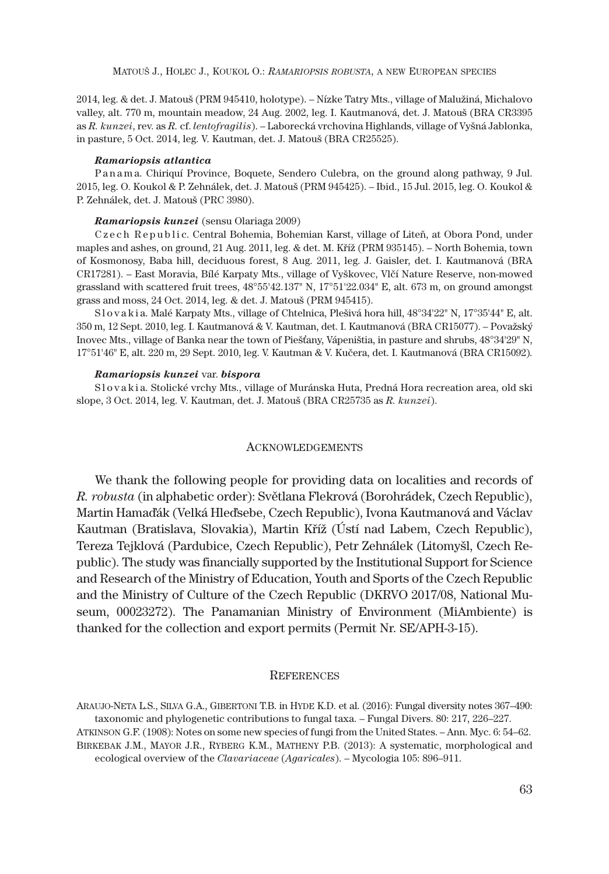2014, leg. & det. J. Matouš (PRM 945410, holotype). – Nízke Tatry Mts., village of Malužiná, Michalovo valley, alt. 770 m, mountain meadow, 24 Aug. 2002, leg. I. Kautmanová, det. J. Matouš (BRA CR3395 as *R. kunzei*, rev. as *R.* cf. *lentofragilis*). – Laborecká vrchovina Highlands, village of Vyšná Jablonka, in pasture, 5 Oct. 2014, leg. V. Kautman, det. J. Matouš (BRA CR25525).

#### *Ramariopsis atlantica*

Panama. Chiriquí Province, Boquete, Sendero Culebra, on the ground along pathway, 9 Jul. 2015, leg. O. Koukol & P. Zehnálek, det. J. Matouš (PRM 945425). – Ibid., 15 Jul. 2015, leg. O. Koukol & P. Zehnálek, det. J. Matouš (PRC 3980).

#### *Ramariopsis kunzei* (sensu Olariaga 2009)

Czech Republic. Central Bohemia, Bohemian Karst, village of Liteň, at Obora Pond, under maples and ashes, on ground, 21 Aug. 2011, leg. & det. M. Kříž (PRM 935145). – North Bohemia, town of Kosmonosy, Baba hill, deciduous forest, 8 Aug. 2011, leg. J. Gaisler, det. I. Kautmanová (BRA CR17281). – East Moravia, Bílé Karpaty Mts., village of Vyškovec, Vlčí Nature Reserve, non-mowed grassland with scattered fruit trees, 48°55'42.137" N, 17°51'22.034" E, alt. 673 m, on ground amongst grass and moss, 24 Oct. 2014, leg. & det. J. Matouš (PRM 945415).

S l o v a k i a. Malé Karpaty Mts., village of Chtelnica, Plešivá hora hill, 48°34'22" N, 17°35'44" E, alt. 350 m, 12 Sept. 2010, leg. I. Kautmanová & V. Kautman, det. I. Kautmanová (BRA CR15077). – Považský Inovec Mts., village of Banka near the town of Piešťany, Vápeništia, in pasture and shrubs, 48°34'29" N, 17°51'46" E, alt. 220 m, 29 Sept. 2010, leg. V. Kautman & V. Kučera, det. I. Kautmanová (BRA CR15092).

#### *Ramariopsis kunzei* var. *bispora*

Slovakia. Stolické vrchy Mts., village of Muránska Huta, Predná Hora recreation area, old ski slope, 3 Oct. 2014, leg. V. Kautman, det. J. Matouš (BRA CR25735 as *R. kunzei*).

#### ACKNOWLEDGEMENTS

We thank the following people for providing data on localities and records of *R. robusta* (in alphabetic order): Světlana Flekrová (Borohrádek, Czech Republic), Martin Hamaďák (Velká Hleďsebe, Czech Republic), Ivona Kautmanová and Václav Kautman (Bratislava, Slovakia), Martin Kříž (Ústí nad Labem, Czech Republic), Tereza Tejklová (Pardubice, Czech Republic), Petr Zehnálek (Litomyšl, Czech Republic). The study was financially supported by the Institutional Support for Science and Research of the Ministry of Education, Youth and Sports of the Czech Republic and the Ministry of Culture of the Czech Republic (DKRVO 2017/08, National Museum, 00023272). The Panamanian Ministry of Environment (MiAmbiente) is thanked for the collection and export permits (Permit Nr. SE/APH-3-15).

### **REFERENCES**

ARAUJO-NETA L.S., SILVA G.A., GIBERTONI T.B. in HYDE K.D. et al. (2016): Fungal diversity notes 367–490: taxonomic and phylogenetic contributions to fungal taxa. – Fungal Divers. 80: 217, 226–227.

ATKINSON G.F. (1908): Notes on some new species of fungi from the United States. – Ann. Myc. 6: 54–62. BIRKEBAK J.M., MAYOR J.R., RYBERG K.M., MATHENY P.B. (2013): A systematic, morphological and ecological overview of the *Clavariaceae* (*Agaricales*). – Mycologia 105: 896–911.